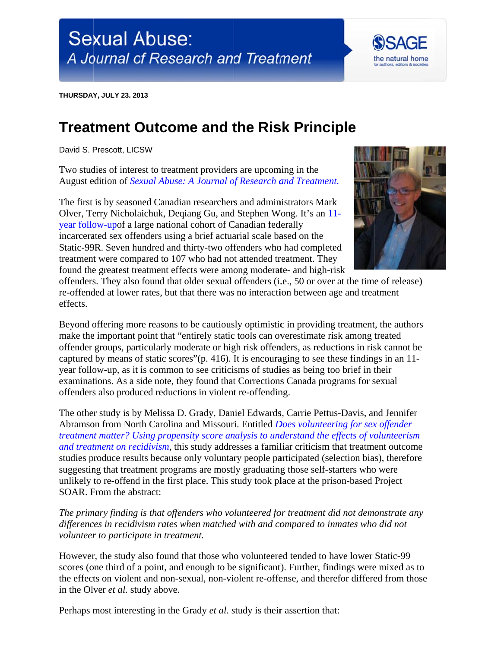**THURSDAY, JULY 23. 2013** 

## **Treatment Outcome and the Risk Principle**

David S. Prescott, LICSW

Two studies of interest to treatment providers are upcoming in the August edition of *Sexual Abuse: A Journal of Research and Treatment*.

The first is by seasoned Canadian researchers and administrators Mark Olver, Terry Nicholaichuk, Degiang Gu, and Stephen Wong. It's an 11year follow-upof a large national cohort of Canadian federally incarcerated sex offenders using a brief actuarial scale based on the Static-99R. Seven hundred and thirty-two offenders who had completed treatment were compared to 107 who had not attended treatment. They found the greatest treatment effects were among moderate- and high-risk



the natural home

offenders. They also found that older sexual offenders (i.e., 50 or over at the time of release) re-offended at lower rates, but that there was no interaction between age and treatment effects.

Beyond offering more reasons to be cautiously optimistic in providing treatment, the authors make the important point that "entirely static tools can overestimate risk among treated offender groups, particularly moderate or high risk offenders, as reductions in risk cannot be captured by means of static scores" (p. 416). It is encouraging to see these findings in an 11year follow-up, as it is common to see criticisms of studies as being too brief in their examinations. As a side note, they found that Corrections Canada programs for sexual offenders also produced reductions in violent re-offending.

The other study is by Melissa D. Grady, Daniel Edwards, Carrie Pettus-Davis, and Jennifer Abramson from North Carolina and Missouri. Entitled *Does volunteering for sex offender* treatment matter? Using propensity score analysis to understand the effects of volunteerism and treatment on recidivism, this study addresses a familiar criticism that treatment outcome studies produce results because only voluntary people participated (selection bias), therefore suggesting that treatment programs are mostly graduating those self-starters who were unlikely to re-offend in the first place. This study took place at the prison-based Project SOAR. From the abstract:

The primary finding is that offenders who volunteered for treatment did not demonstrate any differences in recidivism rates when matched with and compared to inmates who did not volunteer to participate in treatment.

However, the study also found that those who volunteered tended to have lower Static-99 scores (one third of a point, and enough to be significant). Further, findings were mixed as to the effects on violent and non-sexual, non-violent re-offense, and therefor differed from those in the Olver *et al.* study above.

Perhaps most interesting in the Grady et al. study is their assertion that: